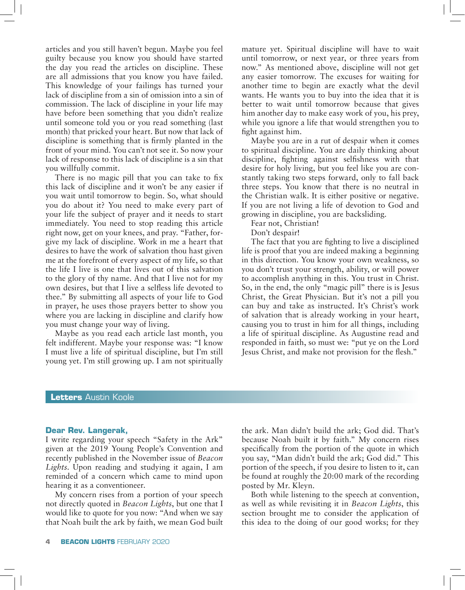articles and you still haven't begun. Maybe you feel guilty because you know you should have started the day you read the articles on discipline. These are all admissions that you know you have failed. This knowledge of your failings has turned your lack of discipline from a sin of omission into a sin of commission. The lack of discipline in your life may have before been something that you didn't realize until someone told you or you read something (last month) that pricked your heart. But now that lack of discipline is something that is firmly planted in the front of your mind. You can't not see it. So now your lack of response to this lack of discipline is a sin that you willfully commit.

There is no magic pill that you can take to fix this lack of discipline and it won't be any easier if you wait until tomorrow to begin. So, what should you do about it? You need to make every part of your life the subject of prayer and it needs to start immediately. You need to stop reading this article right now, get on your knees, and pray. "Father, forgive my lack of discipline. Work in me a heart that desires to have the work of salvation thou hast given me at the forefront of every aspect of my life, so that the life I live is one that lives out of this salvation to the glory of thy name. And that I live not for my own desires, but that I live a selfless life devoted to thee." By submitting all aspects of your life to God in prayer, he uses those prayers better to show you where you are lacking in discipline and clarify how you must change your way of living.

Maybe as you read each article last month, you felt indifferent. Maybe your response was: "I know I must live a life of spiritual discipline, but I'm still young yet. I'm still growing up. I am not spiritually mature yet. Spiritual discipline will have to wait until tomorrow, or next year, or three years from now." As mentioned above, discipline will not get any easier tomorrow. The excuses for waiting for another time to begin are exactly what the devil wants. He wants you to buy into the idea that it is better to wait until tomorrow because that gives him another day to make easy work of you, his prey, while you ignore a life that would strengthen you to fight against him.

Maybe you are in a rut of despair when it comes to spiritual discipline. You are daily thinking about discipline, fighting against selfishness with that desire for holy living, but you feel like you are constantly taking two steps forward, only to fall back three steps. You know that there is no neutral in the Christian walk. It is either positive or negative. If you are not living a life of devotion to God and growing in discipline, you are backsliding.

Fear not, Christian!

Don't despair!

The fact that you are fighting to live a disciplined life is proof that you are indeed making a beginning in this direction. You know your own weakness, so you don't trust your strength, ability, or will power to accomplish anything in this. You trust in Christ. So, in the end, the only "magic pill" there is is Jesus Christ, the Great Physician. But it's not a pill you can buy and take as instructed. It's Christ's work of salvation that is already working in your heart, causing you to trust in him for all things, including a life of spiritual discipline. As Augustine read and responded in faith, so must we: "put ye on the Lord Jesus Christ, and make not provision for the flesh."

### **Letters** Austin Koole

#### **Dear Rev. Langerak,**

I write regarding your speech "Safety in the Ark" given at the 2019 Young People's Convention and recently published in the November issue of *Beacon Lights*. Upon reading and studying it again, I am reminded of a concern which came to mind upon hearing it as a conventioneer.

My concern rises from a portion of your speech not directly quoted in *Beacon Lights*, but one that I would like to quote for you now: "And when we say that Noah built the ark by faith, we mean God built the ark. Man didn't build the ark; God did. That's because Noah built it by faith." My concern rises specifically from the portion of the quote in which you say, "Man didn't build the ark; God did." This portion of the speech, if you desire to listen to it, can be found at roughly the 20:00 mark of the recording posted by Mr. Kleyn.

Both while listening to the speech at convention, as well as while revisiting it in *Beacon Lights*, this section brought me to consider the application of this idea to the doing of our good works; for they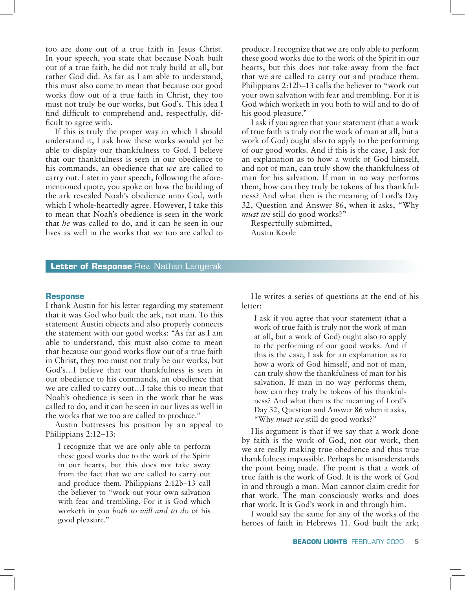too are done out of a true faith in Jesus Christ. In your speech, you state that because Noah built out of a true faith, he did not truly build at all, but rather God did. As far as I am able to understand, this must also come to mean that because our good works flow out of a true faith in Christ, they too must not truly be our works, but God's. This idea I find difficult to comprehend and, respectfully, difficult to agree with.

If this is truly the proper way in which I should understand it, I ask how these works would yet be able to display our thankfulness to God. I believe that our thankfulness is seen in our obedience to his commands, an obedience that *we* are called to carry out. Later in your speech, following the aforementioned quote, you spoke on how the building of the ark revealed Noah's obedience unto God, with which I whole-heartedly agree. However, I take this to mean that Noah's obedience is seen in the work that *he* was called to do, and it can be seen in our lives as well in the works that we too are called to

produce. I recognize that we are only able to perform these good works due to the work of the Spirit in our hearts, but this does not take away from the fact that we are called to carry out and produce them. Philippians 2:12b–13 calls the believer to "work out your own salvation with fear and trembling. For it is God which worketh in you both to will and to do of his good pleasure."

I ask if you agree that your statement (that a work of true faith is truly not the work of man at all, but a work of God) ought also to apply to the performing of our good works. And if this is the case, I ask for an explanation as to how a work of God himself, and not of man, can truly show the thankfulness of man for his salvation. If man in no way performs them, how can they truly be tokens of his thankfulness? And what then is the meaning of Lord's Day 32, Question and Answer 86, when it asks, "Why *must we* still do good works?"

Respectfully submitted, Austin Koole

## **Letter of Response** Rev. Nathan Langerak

#### **Response**

I thank Austin for his letter regarding my statement that it was God who built the ark, not man. To this statement Austin objects and also properly connects the statement with our good works: "As far as I am able to understand, this must also come to mean that because our good works flow out of a true faith in Christ, they too must not truly be our works, but God's…I believe that our thankfulness is seen in our obedience to his commands, an obedience that we are called to carry out…I take this to mean that Noah's obedience is seen in the work that he was called to do, and it can be seen in our lives as well in the works that we too are called to produce."

Austin buttresses his position by an appeal to Philippians 2:12–13:

I recognize that we are only able to perform these good works due to the work of the Spirit in our hearts, but this does not take away from the fact that we are called to carry out and produce them. Philippians 2:12b–13 call the believer to "work out your own salvation with fear and trembling. For it is God which worketh in you *both to will and to do* of his good pleasure."

He writes a series of questions at the end of his letter:

I ask if you agree that your statement (that a work of true faith is truly not the work of man at all, but a work of God) ought also to apply to the performing of our good works. And if this is the case, I ask for an explanation as to how a work of God himself, and not of man, can truly show the thankfulness of man for his salvation. If man in no way performs them, how can they truly be tokens of his thankfulness? And what then is the meaning of Lord's Day 32, Question and Answer 86 when it asks, "Why *must we* still do good works?"

His argument is that if we say that a work done by faith is the work of God, not our work, then we are really making true obedience and thus true thankfulness impossible. Perhaps he misunderstands the point being made. The point is that a work of true faith is the work of God. It is the work of God in and through a man. Man cannot claim credit for that work. The man consciously works and does that work. It is God's work in and through him.

I would say the same for any of the works of the heroes of faith in Hebrews 11. God built the ark;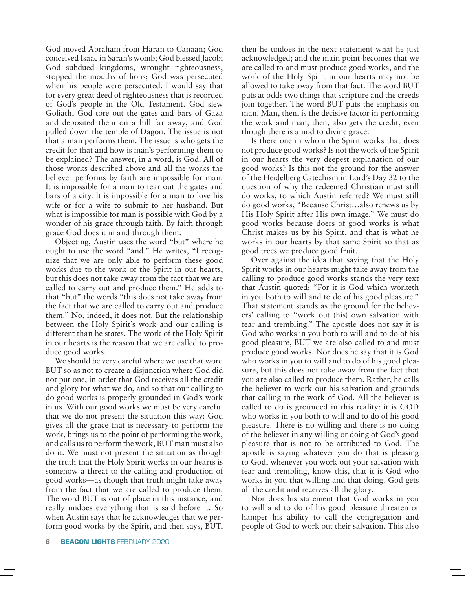God moved Abraham from Haran to Canaan; God conceived Isaac in Sarah's womb; God blessed Jacob; God subdued kingdoms, wrought righteousness, stopped the mouths of lions; God was persecuted when his people were persecuted. I would say that for every great deed of righteousness that is recorded of God's people in the Old Testament. God slew Goliath, God tore out the gates and bars of Gaza and deposited them on a hill far away, and God pulled down the temple of Dagon. The issue is not that a man performs them. The issue is who gets the credit for that and how is man's performing them to be explained? The answer, in a word, is God. All of those works described above and all the works the believer performs by faith are impossible for man. It is impossible for a man to tear out the gates and bars of a city. It is impossible for a man to love his wife or for a wife to submit to her husband. But what is impossible for man is possible with God by a wonder of his grace through faith. By faith through grace God does it in and through them.

Objecting, Austin uses the word "but" where he ought to use the word "and." He writes, "I recognize that we are only able to perform these good works due to the work of the Spirit in our hearts, but this does not take away from the fact that we are called to carry out and produce them." He adds to that "but" the words "this does not take away from the fact that we are called to carry out and produce them." No, indeed, it does not. But the relationship between the Holy Spirit's work and our calling is different than he states. The work of the Holy Spirit in our hearts is the reason that we are called to produce good works.

We should be very careful where we use that word BUT so as not to create a disjunction where God did not put one, in order that God receives all the credit and glory for what we do, and so that our calling to do good works is properly grounded in God's work in us. With our good works we must be very careful that we do not present the situation this way: God gives all the grace that is necessary to perform the work, brings us to the point of performing the work, and calls us to perform the work, BUT man must also do it. We must not present the situation as though the truth that the Holy Spirit works in our hearts is somehow a threat to the calling and production of good works—as though that truth might take away from the fact that we are called to produce them. The word BUT is out of place in this instance, and really undoes everything that is said before it. So when Austin says that he acknowledges that we perform good works by the Spirit, and then says, BUT,

then he undoes in the next statement what he just acknowledged; and the main point becomes that we are called to and must produce good works, and the work of the Holy Spirit in our hearts may not be allowed to take away from that fact. The word BUT puts at odds two things that scripture and the creeds join together. The word BUT puts the emphasis on man. Man, then, is the decisive factor in performing the work and man, then, also gets the credit, even though there is a nod to divine grace.

Is there one in whom the Spirit works that does not produce good works? Is not the work of the Spirit in our hearts the very deepest explanation of our good works? Is this not the ground for the answer of the Heidelberg Catechism in Lord's Day 32 to the question of why the redeemed Christian must still do works, to which Austin referred? We must still do good works, "Because Christ…also renews us by His Holy Spirit after His own image." We must do good works because doers of good works is what Christ makes us by his Spirit, and that is what he works in our hearts by that same Spirit so that as good trees we produce good fruit.

Over against the idea that saying that the Holy Spirit works in our hearts might take away from the calling to produce good works stands the very text that Austin quoted: "For it is God which worketh in you both to will and to do of his good pleasure." That statement stands as the ground for the believers' calling to "work out (his) own salvation with fear and trembling." The apostle does not say it is God who works in you both to will and to do of his good pleasure, BUT we are also called to and must produce good works. Nor does he say that it is God who works in you to will and to do of his good pleasure, but this does not take away from the fact that you are also called to produce them. Rather, he calls the believer to work out his salvation and grounds that calling in the work of God. All the believer is called to do is grounded in this reality: it is GOD who works in you both to will and to do of his good pleasure. There is no willing and there is no doing of the believer in any willing or doing of God's good pleasure that is not to be attributed to God. The apostle is saying whatever you do that is pleasing to God, whenever you work out your salvation with fear and trembling, know this, that it is God who works in you that willing and that doing. God gets all the credit and receives all the glory.

Nor does his statement that God works in you to will and to do of his good pleasure threaten or hamper his ability to call the congregation and people of God to work out their salvation. This also